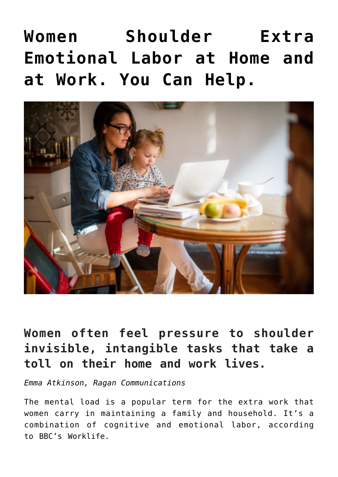# **[Women Shoulder Extra](https://www.commpro.biz/women-shoulder-extra-emotional-labor-at-home-and-at-work-you-can-help/) [Emotional Labor at Home and](https://www.commpro.biz/women-shoulder-extra-emotional-labor-at-home-and-at-work-you-can-help/) [at Work. You Can Help.](https://www.commpro.biz/women-shoulder-extra-emotional-labor-at-home-and-at-work-you-can-help/)**



# **Women often feel pressure to shoulder invisible, intangible tasks that take a toll on their home and work lives.**

*[Emma Atkinson](https://www.ragan.com/author/emma-atkinson), Ragan Communications*

The mental load is a popular term for the extra work that women carry in maintaining a family and household. It's a combination of cognitive and emotional labor, according to [BBC's Worklife.](https://www.bbc.com/worklife/article/20210518-the-hidden-load-how-thinking-of-everything-holds-mums-back)